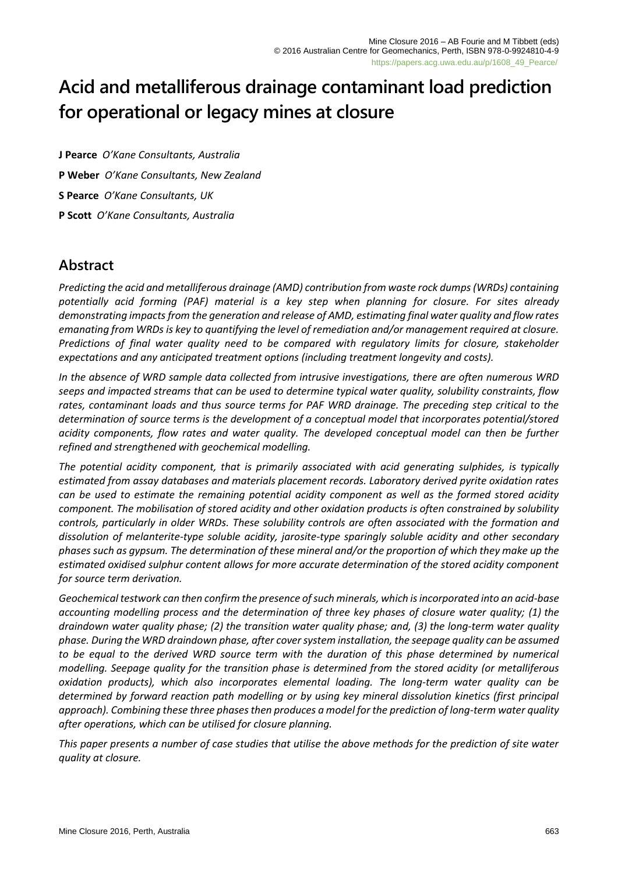# **Acid and metalliferous drainage contaminant load prediction for operational or legacy mines at closure**

**J Pearce** *O'Kane Consultants, Australia* **P Weber** *O'Kane Consultants, New Zealand* **S Pearce** *O'Kane Consultants, UK* **P Scott** *O'Kane Consultants, Australia*

# **Abstract**

*Predicting the acid and metalliferous drainage (AMD) contribution from waste rock dumps (WRDs) containing potentially acid forming (PAF) material is a key step when planning for closure. For sites already demonstrating impacts from the generation and release of AMD, estimating final water quality and flow rates emanating from WRDs is key to quantifying the level of remediation and/or management required at closure. Predictions of final water quality need to be compared with regulatory limits for closure, stakeholder expectations and any anticipated treatment options (including treatment longevity and costs).*

*In the absence of WRD sample data collected from intrusive investigations, there are often numerous WRD seeps and impacted streams that can be used to determine typical water quality, solubility constraints, flow rates, contaminant loads and thus source terms for PAF WRD drainage. The preceding step critical to the determination of source terms is the development of a conceptual model that incorporates potential/stored acidity components, flow rates and water quality. The developed conceptual model can then be further refined and strengthened with geochemical modelling.*

*The potential acidity component, that is primarily associated with acid generating sulphides, is typically estimated from assay databases and materials placement records. Laboratory derived pyrite oxidation rates can be used to estimate the remaining potential acidity component as well as the formed stored acidity component. The mobilisation of stored acidity and other oxidation products is often constrained by solubility controls, particularly in older WRDs. These solubility controls are often associated with the formation and dissolution of melanterite-type soluble acidity, jarosite-type sparingly soluble acidity and other secondary phases such as gypsum. The determination of these mineral and/or the proportion of which they make up the estimated oxidised sulphur content allows for more accurate determination of the stored acidity component for source term derivation.*

*Geochemical testwork can then confirm the presence of such minerals, which is incorporated into an acid-base accounting modelling process and the determination of three key phases of closure water quality; (1) the draindown water quality phase; (2) the transition water quality phase; and, (3) the long-term water quality phase. During the WRD draindown phase, after cover system installation, the seepage quality can be assumed*  to be equal to the derived WRD source term with the duration of this phase determined by numerical *modelling. Seepage quality for the transition phase is determined from the stored acidity (or metalliferous oxidation products), which also incorporates elemental loading. The long-term water quality can be determined by forward reaction path modelling or by using key mineral dissolution kinetics (first principal approach). Combining these three phases then produces a model for the prediction of long-term water quality after operations, which can be utilised for closure planning.*

*This paper presents a number of case studies that utilise the above methods for the prediction of site water quality at closure.*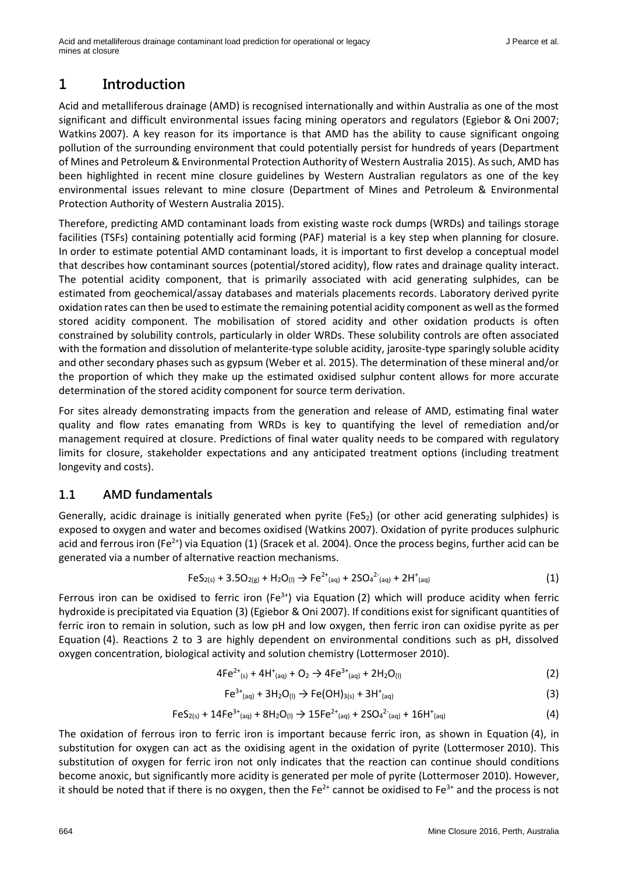# **1 Introduction**

Acid and metalliferous drainage (AMD) is recognised internationally and within Australia as one of the most significant and difficult environmental issues facing mining operators and regulators (Egiebor & Oni 2007; Watkins 2007). A key reason for its importance is that AMD has the ability to cause significant ongoing pollution of the surrounding environment that could potentially persist for hundreds of years (Department of Mines and Petroleum & Environmental Protection Authority of Western Australia 2015). As such, AMD has been highlighted in recent mine closure guidelines by Western Australian regulators as one of the key environmental issues relevant to mine closure (Department of Mines and Petroleum & Environmental Protection Authority of Western Australia 2015).

Therefore, predicting AMD contaminant loads from existing waste rock dumps (WRDs) and tailings storage facilities (TSFs) containing potentially acid forming (PAF) material is a key step when planning for closure. In order to estimate potential AMD contaminant loads, it is important to first develop a conceptual model that describes how contaminant sources (potential/stored acidity), flow rates and drainage quality interact. The potential acidity component, that is primarily associated with acid generating sulphides, can be estimated from geochemical/assay databases and materials placements records. Laboratory derived pyrite oxidation rates can then be used to estimate the remaining potential acidity component as well as the formed stored acidity component. The mobilisation of stored acidity and other oxidation products is often constrained by solubility controls, particularly in older WRDs. These solubility controls are often associated with the formation and dissolution of melanterite-type soluble acidity, jarosite-type sparingly soluble acidity and other secondary phases such as gypsum (Weber et al. 2015). The determination of these mineral and/or the proportion of which they make up the estimated oxidised sulphur content allows for more accurate determination of the stored acidity component for source term derivation.

For sites already demonstrating impacts from the generation and release of AMD, estimating final water quality and flow rates emanating from WRDs is key to quantifying the level of remediation and/or management required at closure. Predictions of final water quality needs to be compared with regulatory limits for closure, stakeholder expectations and any anticipated treatment options (including treatment longevity and costs).

# **1.1 AMD fundamentals**

Generally, acidic drainage is initially generated when pyrite (FeS<sub>2</sub>) (or other acid generating sulphides) is exposed to oxygen and water and becomes oxidised (Watkins 2007). Oxidation of pyrite produces sulphuric acid and ferrous iron (Fe<sup>2+</sup>) via Equation (1) (Sracek et al. 2004). Once the process begins, further acid can be generated via a number of alternative reaction mechanisms.

$$
FeS_{2(s)} + 3.5O_{2(g)} + H_2O_{(l)} \rightarrow Fe^{2+}(aq) + 2SO_4^{2-}(aq) + 2H^+(aq)
$$
\n(1)

Ferrous iron can be oxidised to ferric iron ( $Fe^{3+}$ ) via Equation (2) which will produce acidity when ferric hydroxide is precipitated via Equation (3) (Egiebor & Oni 2007). If conditions exist for significant quantities of ferric iron to remain in solution, such as low pH and low oxygen, then ferric iron can oxidise pyrite as per Equation (4). Reactions 2 to 3 are highly dependent on environmental conditions such as pH, dissolved oxygen concentration, biological activity and solution chemistry (Lottermoser 2010).

$$
4Fe^{2+}(s) + 4H^{+}(aq) + O_2 \rightarrow 4Fe^{3+}(aq) + 2H_2O(1)
$$
\n(2)

$$
Fe^{3+}(aq) + 3H_2O_{(l)} \rightarrow Fe(OH)_{3(s)} + 3H^+(aq)
$$
\n(3)

$$
FeS_{2(s)} + 14Fe^{3+}{}_{(aq)} + 8H_2O_{(l)} \rightarrow 15Fe^{2+}{}_{(aq)} + 2SO_4{}^{2-}{}_{(aq)} + 16H^+{}_{(aq)} \tag{4}
$$

The oxidation of ferrous iron to ferric iron is important because ferric iron, as shown in Equation (4), in substitution for oxygen can act as the oxidising agent in the oxidation of pyrite (Lottermoser 2010). This substitution of oxygen for ferric iron not only indicates that the reaction can continue should conditions become anoxic, but significantly more acidity is generated per mole of pyrite (Lottermoser 2010). However, it should be noted that if there is no oxygen, then the  $Fe^{2+}$  cannot be oxidised to  $Fe^{3+}$  and the process is not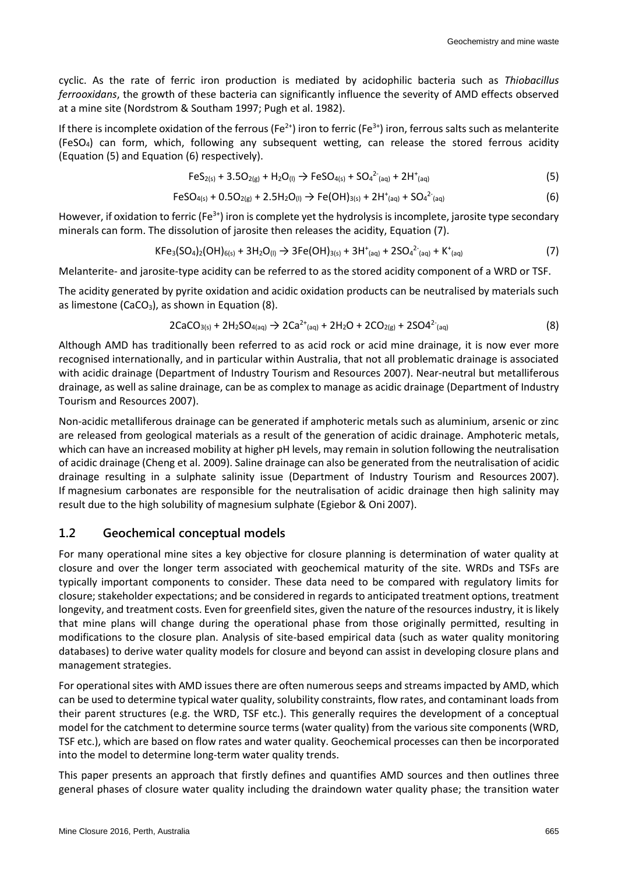cyclic. As the rate of ferric iron production is mediated by acidophilic bacteria such as *Thiobacillus ferrooxidans*, the growth of these bacteria can significantly influence the severity of AMD effects observed at a mine site (Nordstrom & Southam 1997; Pugh et al. 1982).

If there is incomplete oxidation of the ferrous (Fe<sup>2+</sup>) iron to ferric (Fe<sup>3+</sup>) iron, ferrous salts such as melanterite (FeSO4) can form, which, following any subsequent wetting, can release the stored ferrous acidity (Equation (5) and Equation (6) respectively).

$$
FeS_{2(s)} + 3.5O_{2(g)} + H_2O_{(l)} \rightarrow FeSO_{4(s)} + SO_4^{2-}(aq) + 2H^+(aq)
$$
\n(5)

$$
FeSO_{4(s)} + 0.5O_{2(g)} + 2.5H_2O_{(l)} \rightarrow Fe(OH)_{3(s)} + 2H^{+}_{(aq)} + SO_4^{2-}_{(aq)}
$$
\n(6)

However, if oxidation to ferric (Fe<sup>3+</sup>) iron is complete yet the hydrolysis is incomplete, jarosite type secondary minerals can form. The dissolution of jarosite then releases the acidity, Equation (7).

$$
KFe3(SO4)2(OH)6(s) + 3H2O(I) \rightarrow 3Fe(OH)3(s) + 3H+(aq) + 2SO42(aq) + K+(aq)
$$
 (7)

Melanterite- and jarosite-type acidity can be referred to as the stored acidity component of a WRD or TSF.

The acidity generated by pyrite oxidation and acidic oxidation products can be neutralised by materials such as limestone (CaCO<sub>3</sub>), as shown in Equation  $(8)$ .

$$
2CaCO_{3(s)} + 2H_2SO_{4(aq)} \rightarrow 2Ca^{2+}(aq) + 2H_2O + 2CO_{2(g)} + 2SO4^{2-}(aq)
$$
 (8)

Although AMD has traditionally been referred to as acid rock or acid mine drainage, it is now ever more recognised internationally, and in particular within Australia, that not all problematic drainage is associated with acidic drainage (Department of Industry Tourism and Resources 2007). Near-neutral but metalliferous drainage, as well as saline drainage, can be as complex to manage as acidic drainage (Department of Industry Tourism and Resources 2007).

Non-acidic metalliferous drainage can be generated if amphoteric metals such as aluminium, arsenic or zinc are released from geological materials as a result of the generation of acidic drainage. Amphoteric metals, which can have an increased mobility at higher pH levels, may remain in solution following the neutralisation of acidic drainage (Cheng et al. 2009). Saline drainage can also be generated from the neutralisation of acidic drainage resulting in a sulphate salinity issue (Department of Industry Tourism and Resources 2007). If magnesium carbonates are responsible for the neutralisation of acidic drainage then high salinity may result due to the high solubility of magnesium sulphate (Egiebor & Oni 2007).

#### **1.2 Geochemical conceptual models**

For many operational mine sites a key objective for closure planning is determination of water quality at closure and over the longer term associated with geochemical maturity of the site. WRDs and TSFs are typically important components to consider. These data need to be compared with regulatory limits for closure; stakeholder expectations; and be considered in regards to anticipated treatment options, treatment longevity, and treatment costs. Even for greenfield sites, given the nature of the resources industry, it is likely that mine plans will change during the operational phase from those originally permitted, resulting in modifications to the closure plan. Analysis of site-based empirical data (such as water quality monitoring databases) to derive water quality models for closure and beyond can assist in developing closure plans and management strategies.

For operational sites with AMD issues there are often numerous seeps and streams impacted by AMD, which can be used to determine typical water quality, solubility constraints, flow rates, and contaminant loads from their parent structures (e.g. the WRD, TSF etc.). This generally requires the development of a conceptual model for the catchment to determine source terms (water quality) from the various site components (WRD, TSF etc.), which are based on flow rates and water quality. Geochemical processes can then be incorporated into the model to determine long-term water quality trends.

This paper presents an approach that firstly defines and quantifies AMD sources and then outlines three general phases of closure water quality including the draindown water quality phase; the transition water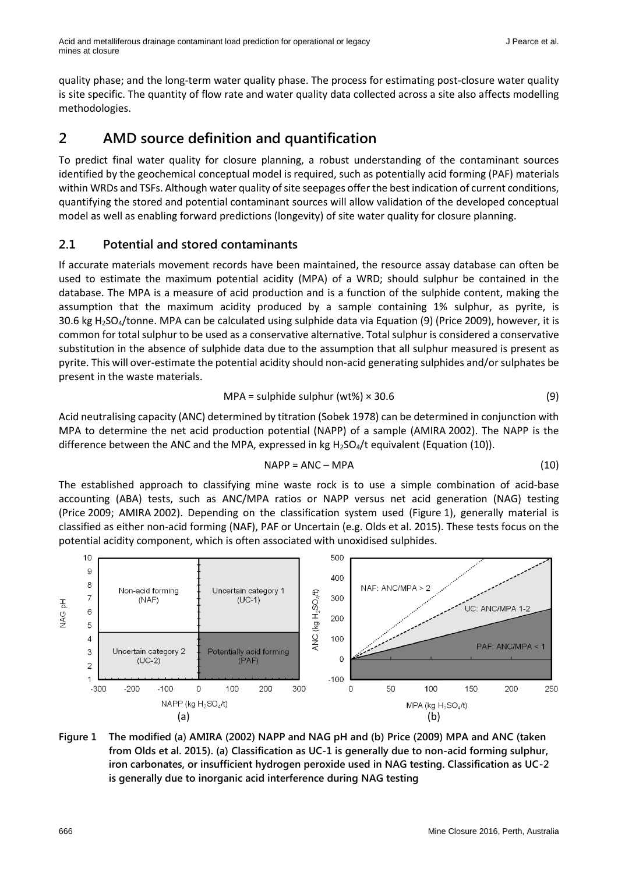quality phase; and the long-term water quality phase. The process for estimating post-closure water quality is site specific. The quantity of flow rate and water quality data collected across a site also affects modelling methodologies.

# **2 AMD source definition and quantification**

To predict final water quality for closure planning, a robust understanding of the contaminant sources identified by the geochemical conceptual model is required, such as potentially acid forming (PAF) materials within WRDs and TSFs. Although water quality of site seepages offer the best indication of current conditions, quantifying the stored and potential contaminant sources will allow validation of the developed conceptual model as well as enabling forward predictions (longevity) of site water quality for closure planning.

### **2.1 Potential and stored contaminants**

If accurate materials movement records have been maintained, the resource assay database can often be used to estimate the maximum potential acidity (MPA) of a WRD; should sulphur be contained in the database. The MPA is a measure of acid production and is a function of the sulphide content, making the assumption that the maximum acidity produced by a sample containing 1% sulphur, as pyrite, is 30.6 kg H2SO4/tonne. MPA can be calculated using sulphide data via Equation (9) (Price 2009), however, it is common for total sulphur to be used as a conservative alternative. Total sulphur is considered a conservative substitution in the absence of sulphide data due to the assumption that all sulphur measured is present as pyrite. This will over-estimate the potential acidity should non-acid generating sulphides and/or sulphates be present in the waste materials.

$$
MPA = \text{subphide sulphur (wt%)} \times 30.6 \tag{9}
$$

Acid neutralising capacity (ANC) determined by titration (Sobek 1978) can be determined in conjunction with MPA to determine the net acid production potential (NAPP) of a sample (AMIRA 2002). The NAPP is the difference between the ANC and the MPA, expressed in kg  $H_2SO_4/t$  equivalent (Equation (10)).

$$
NAPP = ANC - MPA
$$
 (10)

The established approach to classifying mine waste rock is to use a simple combination of acid-base accounting (ABA) tests, such as ANC/MPA ratios or NAPP versus net acid generation (NAG) testing (Price 2009; AMIRA 2002). Depending on the classification system used (Figure 1), generally material is classified as either non-acid forming (NAF), PAF or Uncertain (e.g. Olds et al. 2015). These tests focus on the potential acidity component, which is often associated with unoxidised sulphides.



#### **Figure 1 The modified (a) AMIRA (2002) NAPP and NAG pH and (b) Price (2009) MPA and ANC (taken from Olds et al. 2015). (a) Classification as UC-1 is generally due to non-acid forming sulphur, iron carbonates, or insufficient hydrogen peroxide used in NAG testing. Classification as UC-2 is generally due to inorganic acid interference during NAG testing**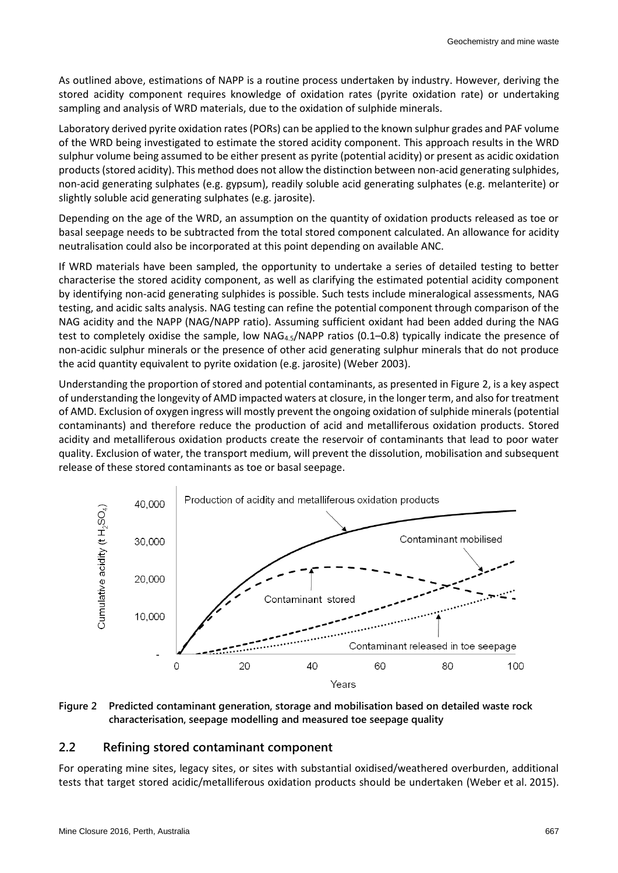As outlined above, estimations of NAPP is a routine process undertaken by industry. However, deriving the stored acidity component requires knowledge of oxidation rates (pyrite oxidation rate) or undertaking sampling and analysis of WRD materials, due to the oxidation of sulphide minerals.

Laboratory derived pyrite oxidation rates(PORs) can be applied to the known sulphur grades and PAF volume of the WRD being investigated to estimate the stored acidity component. This approach results in the WRD sulphur volume being assumed to be either present as pyrite (potential acidity) or present as acidic oxidation products (stored acidity). This method does not allow the distinction between non-acid generating sulphides, non-acid generating sulphates (e.g. gypsum), readily soluble acid generating sulphates (e.g. melanterite) or slightly soluble acid generating sulphates (e.g. jarosite).

Depending on the age of the WRD, an assumption on the quantity of oxidation products released as toe or basal seepage needs to be subtracted from the total stored component calculated. An allowance for acidity neutralisation could also be incorporated at this point depending on available ANC.

If WRD materials have been sampled, the opportunity to undertake a series of detailed testing to better characterise the stored acidity component, as well as clarifying the estimated potential acidity component by identifying non-acid generating sulphides is possible. Such tests include mineralogical assessments, NAG testing, and acidic salts analysis. NAG testing can refine the potential component through comparison of the NAG acidity and the NAPP (NAG/NAPP ratio). Assuming sufficient oxidant had been added during the NAG test to completely oxidise the sample, low NAG4.5/NAPP ratios (0.1–0.8) typically indicate the presence of non-acidic sulphur minerals or the presence of other acid generating sulphur minerals that do not produce the acid quantity equivalent to pyrite oxidation (e.g. jarosite) (Weber 2003).

Understanding the proportion of stored and potential contaminants, as presented in Figure 2, is a key aspect of understanding the longevity of AMD impacted waters at closure, in the longer term, and also for treatment of AMD. Exclusion of oxygen ingress will mostly prevent the ongoing oxidation of sulphide minerals (potential contaminants) and therefore reduce the production of acid and metalliferous oxidation products. Stored acidity and metalliferous oxidation products create the reservoir of contaminants that lead to poor water quality. Exclusion of water, the transport medium, will prevent the dissolution, mobilisation and subsequent release of these stored contaminants as toe or basal seepage.



**Figure 2 Predicted contaminant generation, storage and mobilisation based on detailed waste rock characterisation, seepage modelling and measured toe seepage quality**

#### **2.2 Refining stored contaminant component**

For operating mine sites, legacy sites, or sites with substantial oxidised/weathered overburden, additional tests that target stored acidic/metalliferous oxidation products should be undertaken (Weber et al. 2015).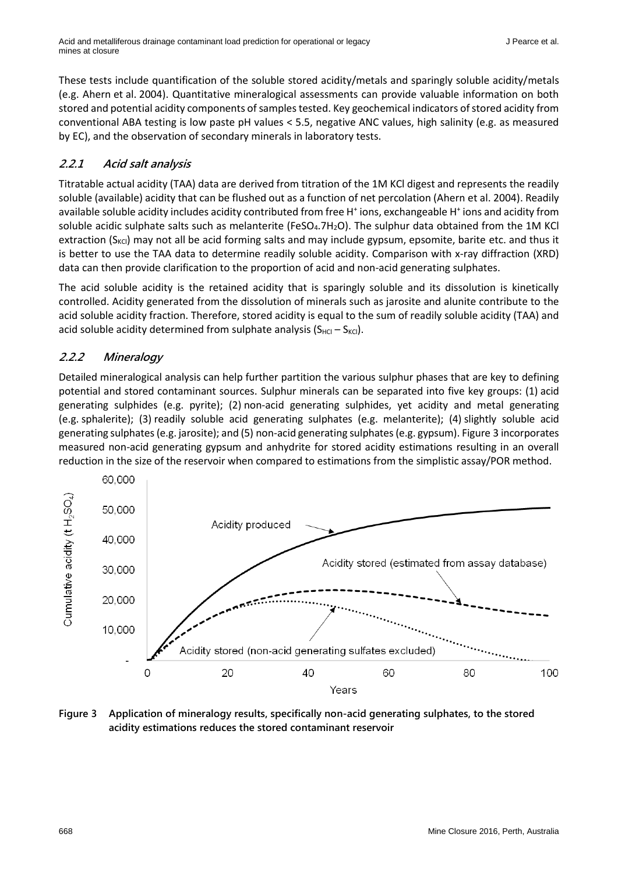These tests include quantification of the soluble stored acidity/metals and sparingly soluble acidity/metals (e.g. Ahern et al. 2004). Quantitative mineralogical assessments can provide valuable information on both stored and potential acidity components of samples tested. Key geochemical indicators of stored acidity from conventional ABA testing is low paste pH values < 5.5, negative ANC values, high salinity (e.g. as measured by EC), and the observation of secondary minerals in laboratory tests.

### **2.2.1 Acid salt analysis**

Titratable actual acidity (TAA) data are derived from titration of the 1M KCl digest and represents the readily soluble (available) acidity that can be flushed out as a function of net percolation (Ahern et al. 2004). Readily available soluble acidity includes acidity contributed from free H<sup>+</sup> ions, exchangeable H<sup>+</sup> ions and acidity from soluble acidic sulphate salts such as melanterite (FeSO<sub>4</sub>.7H<sub>2</sub>O). The sulphur data obtained from the 1M KCl extraction ( $S_{\text{KCl}}$ ) may not all be acid forming salts and may include gypsum, epsomite, barite etc. and thus it is better to use the TAA data to determine readily soluble acidity. Comparison with x-ray diffraction (XRD) data can then provide clarification to the proportion of acid and non-acid generating sulphates.

The acid soluble acidity is the retained acidity that is sparingly soluble and its dissolution is kinetically controlled. Acidity generated from the dissolution of minerals such as jarosite and alunite contribute to the acid soluble acidity fraction. Therefore, stored acidity is equal to the sum of readily soluble acidity (TAA) and acid soluble acidity determined from sulphate analysis  $(S_{HG} - S_{KCl})$ .

# **2.2.2 Mineralogy**

Detailed mineralogical analysis can help further partition the various sulphur phases that are key to defining potential and stored contaminant sources. Sulphur minerals can be separated into five key groups: (1) acid generating sulphides (e.g. pyrite); (2) non-acid generating sulphides, yet acidity and metal generating (e.g. sphalerite); (3) readily soluble acid generating sulphates (e.g. melanterite); (4) slightly soluble acid generating sulphates(e.g. jarosite); and (5) non-acid generating sulphates(e.g. gypsum). Figure 3 incorporates measured non-acid generating gypsum and anhydrite for stored acidity estimations resulting in an overall reduction in the size of the reservoir when compared to estimations from the simplistic assay/POR method.



**Figure 3 Application of mineralogy results, specifically non-acid generating sulphates, to the stored acidity estimations reduces the stored contaminant reservoir**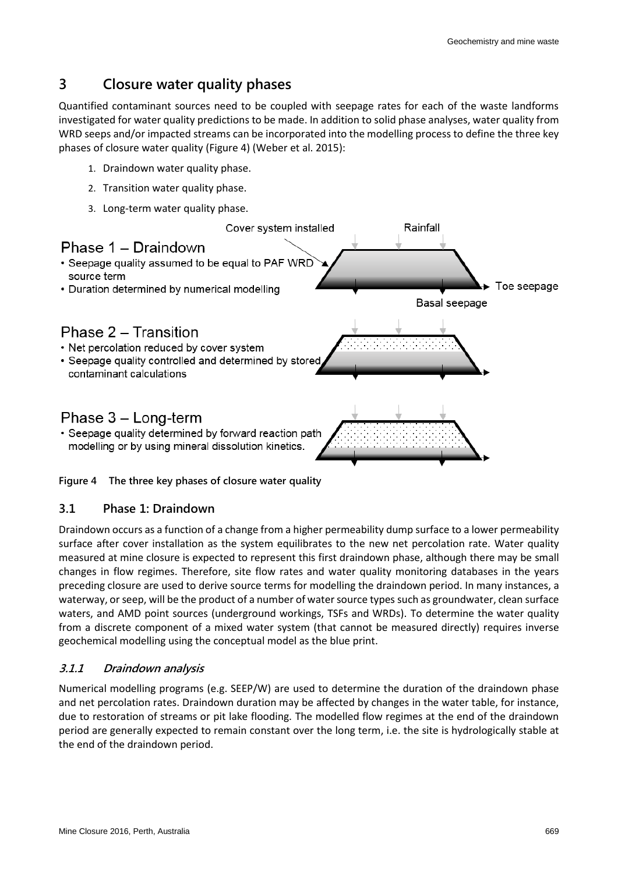# **3 Closure water quality phases**

Quantified contaminant sources need to be coupled with seepage rates for each of the waste landforms investigated for water quality predictions to be made. In addition to solid phase analyses, water quality from WRD seeps and/or impacted streams can be incorporated into the modelling process to define the three key phases of closure water quality (Figure 4) (Weber et al. 2015):

- 1. Draindown water quality phase.
- 2. Transition water quality phase.
- 3. Long-term water quality phase.



#### **Figure 4 The three key phases of closure water quality**

#### **3.1 Phase 1: Draindown**

Draindown occurs as a function of a change from a higher permeability dump surface to a lower permeability surface after cover installation as the system equilibrates to the new net percolation rate. Water quality measured at mine closure is expected to represent this first draindown phase, although there may be small changes in flow regimes. Therefore, site flow rates and water quality monitoring databases in the years preceding closure are used to derive source terms for modelling the draindown period. In many instances, a waterway, or seep, will be the product of a number of water source types such as groundwater, clean surface waters, and AMD point sources (underground workings, TSFs and WRDs). To determine the water quality from a discrete component of a mixed water system (that cannot be measured directly) requires inverse geochemical modelling using the conceptual model as the blue print.

#### **3.1.1 Draindown analysis**

Numerical modelling programs (e.g. SEEP/W) are used to determine the duration of the draindown phase and net percolation rates. Draindown duration may be affected by changes in the water table, for instance, due to restoration of streams or pit lake flooding. The modelled flow regimes at the end of the draindown period are generally expected to remain constant over the long term, i.e. the site is hydrologically stable at the end of the draindown period.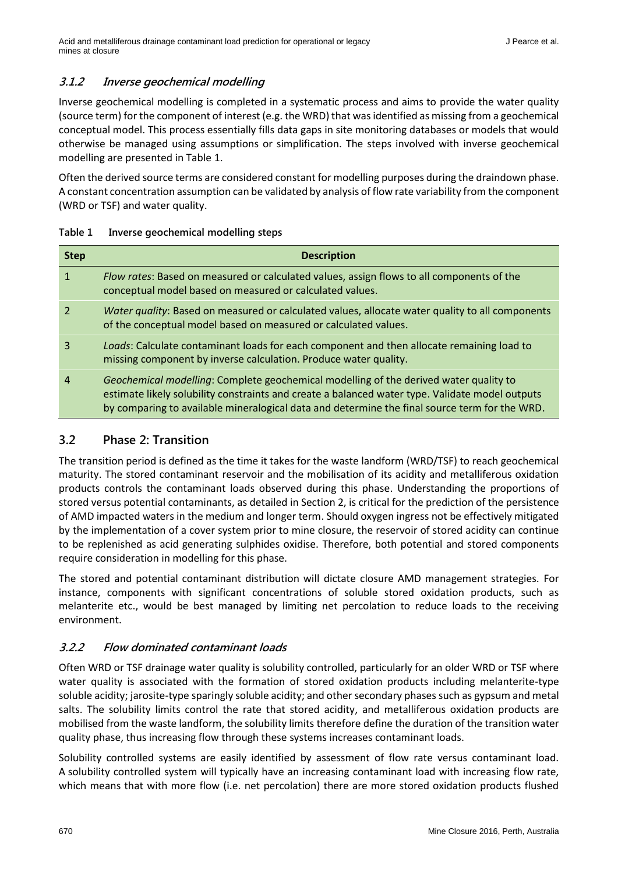#### **3.1.2 Inverse geochemical modelling**

Inverse geochemical modelling is completed in a systematic process and aims to provide the water quality (source term) for the component of interest (e.g. the WRD) that was identified as missing from a geochemical conceptual model. This process essentially fills data gaps in site monitoring databases or models that would otherwise be managed using assumptions or simplification. The steps involved with inverse geochemical modelling are presented in Table 1.

Often the derived source terms are considered constant for modelling purposes during the draindown phase. A constant concentration assumption can be validated by analysis of flow rate variability from the component (WRD or TSF) and water quality.

| Table 1 | Inverse geochemical modelling steps |  |
|---------|-------------------------------------|--|
|---------|-------------------------------------|--|

| <b>Step</b> | <b>Description</b>                                                                                                                                                                                                                                                                        |
|-------------|-------------------------------------------------------------------------------------------------------------------------------------------------------------------------------------------------------------------------------------------------------------------------------------------|
| 1           | Flow rates: Based on measured or calculated values, assign flows to all components of the<br>conceptual model based on measured or calculated values.                                                                                                                                     |
|             | Water quality: Based on measured or calculated values, allocate water quality to all components<br>of the conceptual model based on measured or calculated values.                                                                                                                        |
| 3           | Loads: Calculate contaminant loads for each component and then allocate remaining load to<br>missing component by inverse calculation. Produce water quality.                                                                                                                             |
| 4           | Geochemical modelling: Complete geochemical modelling of the derived water quality to<br>estimate likely solubility constraints and create a balanced water type. Validate model outputs<br>by comparing to available mineralogical data and determine the final source term for the WRD. |

#### **3.2 Phase 2: Transition**

The transition period is defined as the time it takes for the waste landform (WRD/TSF) to reach geochemical maturity. The stored contaminant reservoir and the mobilisation of its acidity and metalliferous oxidation products controls the contaminant loads observed during this phase. Understanding the proportions of stored versus potential contaminants, as detailed in Section 2, is critical for the prediction of the persistence of AMD impacted waters in the medium and longer term. Should oxygen ingress not be effectively mitigated by the implementation of a cover system prior to mine closure, the reservoir of stored acidity can continue to be replenished as acid generating sulphides oxidise. Therefore, both potential and stored components require consideration in modelling for this phase.

The stored and potential contaminant distribution will dictate closure AMD management strategies. For instance, components with significant concentrations of soluble stored oxidation products, such as melanterite etc., would be best managed by limiting net percolation to reduce loads to the receiving environment.

#### **3.2.2 Flow dominated contaminant loads**

Often WRD or TSF drainage water quality is solubility controlled, particularly for an older WRD or TSF where water quality is associated with the formation of stored oxidation products including melanterite-type soluble acidity; jarosite-type sparingly soluble acidity; and other secondary phases such as gypsum and metal salts. The solubility limits control the rate that stored acidity, and metalliferous oxidation products are mobilised from the waste landform, the solubility limits therefore define the duration of the transition water quality phase, thus increasing flow through these systems increases contaminant loads.

Solubility controlled systems are easily identified by assessment of flow rate versus contaminant load. A solubility controlled system will typically have an increasing contaminant load with increasing flow rate, which means that with more flow (i.e. net percolation) there are more stored oxidation products flushed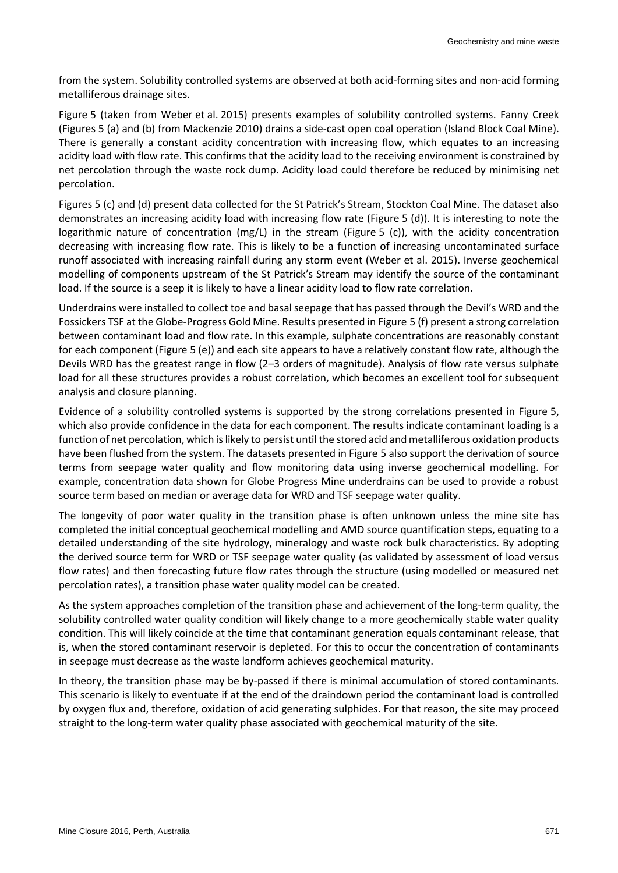from the system. Solubility controlled systems are observed at both acid-forming sites and non-acid forming metalliferous drainage sites.

Figure 5 (taken from Weber et al. 2015) presents examples of solubility controlled systems. Fanny Creek (Figures 5 (a) and (b) from Mackenzie 2010) drains a side-cast open coal operation (Island Block Coal Mine). There is generally a constant acidity concentration with increasing flow, which equates to an increasing acidity load with flow rate. This confirms that the acidity load to the receiving environment is constrained by net percolation through the waste rock dump. Acidity load could therefore be reduced by minimising net percolation.

Figures 5 (c) and (d) present data collected for the St Patrick's Stream, Stockton Coal Mine. The dataset also demonstrates an increasing acidity load with increasing flow rate (Figure 5 (d)). It is interesting to note the logarithmic nature of concentration (mg/L) in the stream (Figure 5 (c)), with the acidity concentration decreasing with increasing flow rate. This is likely to be a function of increasing uncontaminated surface runoff associated with increasing rainfall during any storm event (Weber et al. 2015). Inverse geochemical modelling of components upstream of the St Patrick's Stream may identify the source of the contaminant load. If the source is a seep it is likely to have a linear acidity load to flow rate correlation.

Underdrains were installed to collect toe and basal seepage that has passed through the Devil's WRD and the Fossickers TSF at the Globe-Progress Gold Mine. Results presented in Figure 5 (f) present a strong correlation between contaminant load and flow rate. In this example, sulphate concentrations are reasonably constant for each component (Figure 5 (e)) and each site appears to have a relatively constant flow rate, although the Devils WRD has the greatest range in flow (2–3 orders of magnitude). Analysis of flow rate versus sulphate load for all these structures provides a robust correlation, which becomes an excellent tool for subsequent analysis and closure planning.

Evidence of a solubility controlled systems is supported by the strong correlations presented in Figure 5, which also provide confidence in the data for each component. The results indicate contaminant loading is a function of net percolation, which is likely to persist until the stored acid and metalliferous oxidation products have been flushed from the system. The datasets presented in Figure 5 also support the derivation of source terms from seepage water quality and flow monitoring data using inverse geochemical modelling. For example, concentration data shown for Globe Progress Mine underdrains can be used to provide a robust source term based on median or average data for WRD and TSF seepage water quality.

The longevity of poor water quality in the transition phase is often unknown unless the mine site has completed the initial conceptual geochemical modelling and AMD source quantification steps, equating to a detailed understanding of the site hydrology, mineralogy and waste rock bulk characteristics. By adopting the derived source term for WRD or TSF seepage water quality (as validated by assessment of load versus flow rates) and then forecasting future flow rates through the structure (using modelled or measured net percolation rates), a transition phase water quality model can be created.

As the system approaches completion of the transition phase and achievement of the long-term quality, the solubility controlled water quality condition will likely change to a more geochemically stable water quality condition. This will likely coincide at the time that contaminant generation equals contaminant release, that is, when the stored contaminant reservoir is depleted. For this to occur the concentration of contaminants in seepage must decrease as the waste landform achieves geochemical maturity.

In theory, the transition phase may be by-passed if there is minimal accumulation of stored contaminants. This scenario is likely to eventuate if at the end of the draindown period the contaminant load is controlled by oxygen flux and, therefore, oxidation of acid generating sulphides. For that reason, the site may proceed straight to the long-term water quality phase associated with geochemical maturity of the site.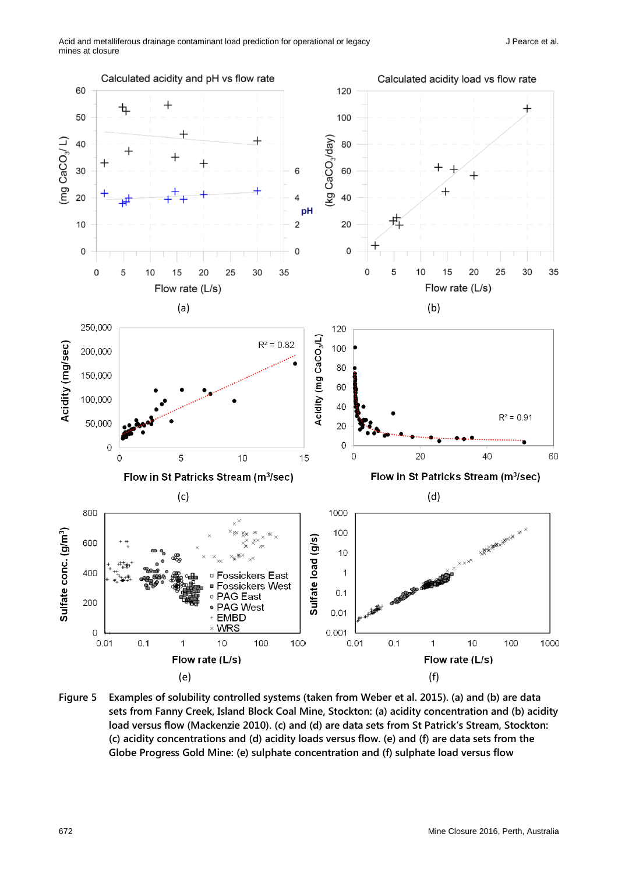

**Figure 5 Examples of solubility controlled systems (taken from Weber et al. 2015). (a) and (b) are data sets from Fanny Creek, Island Block Coal Mine, Stockton: (a) acidity concentration and (b) acidity load versus flow (Mackenzie 2010). (c) and (d) are data sets from St Patrick's Stream, Stockton: (c) acidity concentrations and (d) acidity loads versus flow. (e) and (f) are data sets from the Globe Progress Gold Mine: (e) sulphate concentration and (f) sulphate load versus flow**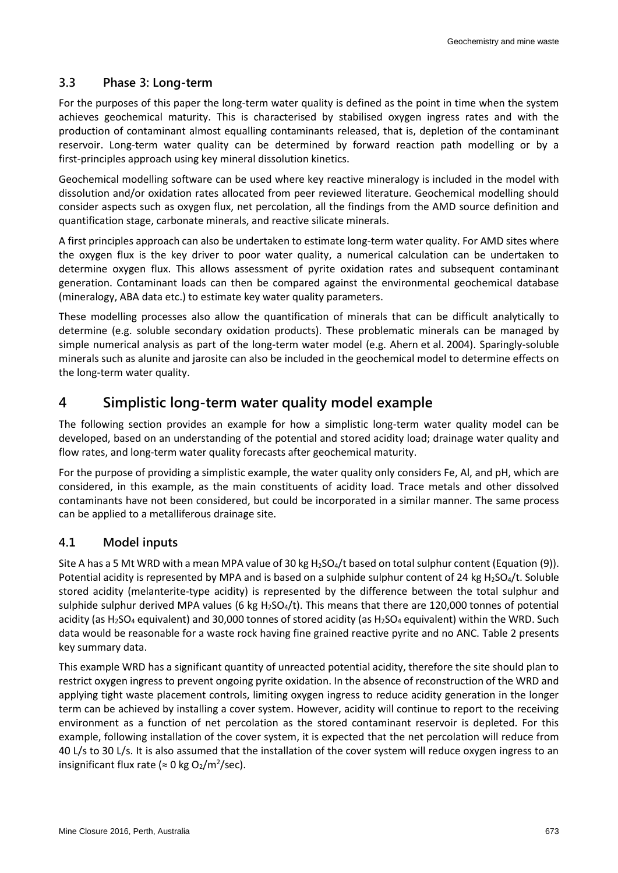#### **3.3 Phase 3: Long-term**

For the purposes of this paper the long-term water quality is defined as the point in time when the system achieves geochemical maturity. This is characterised by stabilised oxygen ingress rates and with the production of contaminant almost equalling contaminants released, that is, depletion of the contaminant reservoir. Long-term water quality can be determined by forward reaction path modelling or by a first-principles approach using key mineral dissolution kinetics.

Geochemical modelling software can be used where key reactive mineralogy is included in the model with dissolution and/or oxidation rates allocated from peer reviewed literature. Geochemical modelling should consider aspects such as oxygen flux, net percolation, all the findings from the AMD source definition and quantification stage, carbonate minerals, and reactive silicate minerals.

A first principles approach can also be undertaken to estimate long-term water quality. For AMD sites where the oxygen flux is the key driver to poor water quality, a numerical calculation can be undertaken to determine oxygen flux. This allows assessment of pyrite oxidation rates and subsequent contaminant generation. Contaminant loads can then be compared against the environmental geochemical database (mineralogy, ABA data etc.) to estimate key water quality parameters.

These modelling processes also allow the quantification of minerals that can be difficult analytically to determine (e.g. soluble secondary oxidation products). These problematic minerals can be managed by simple numerical analysis as part of the long-term water model (e.g. Ahern et al. 2004). Sparingly-soluble minerals such as alunite and jarosite can also be included in the geochemical model to determine effects on the long-term water quality.

# **4 Simplistic long-term water quality model example**

The following section provides an example for how a simplistic long-term water quality model can be developed, based on an understanding of the potential and stored acidity load; drainage water quality and flow rates, and long-term water quality forecasts after geochemical maturity.

For the purpose of providing a simplistic example, the water quality only considers Fe, Al, and pH, which are considered, in this example, as the main constituents of acidity load. Trace metals and other dissolved contaminants have not been considered, but could be incorporated in a similar manner. The same process can be applied to a metalliferous drainage site.

### **4.1 Model inputs**

Site A has a 5 Mt WRD with a mean MPA value of 30 kg  $H_2SO_4/t$  based on total sulphur content (Equation (9)). Potential acidity is represented by MPA and is based on a sulphide sulphur content of 24 kg H<sub>2</sub>SO<sub>4</sub>/t. Soluble stored acidity (melanterite-type acidity) is represented by the difference between the total sulphur and sulphide sulphur derived MPA values (6 kg H<sub>2</sub>SO<sub>4</sub>/t). This means that there are 120,000 tonnes of potential acidity (as H<sub>2</sub>SO<sub>4</sub> equivalent) and 30,000 tonnes of stored acidity (as H<sub>2</sub>SO<sub>4</sub> equivalent) within the WRD. Such data would be reasonable for a waste rock having fine grained reactive pyrite and no ANC. Table 2 presents key summary data.

This example WRD has a significant quantity of unreacted potential acidity, therefore the site should plan to restrict oxygen ingress to prevent ongoing pyrite oxidation. In the absence of reconstruction of the WRD and applying tight waste placement controls, limiting oxygen ingress to reduce acidity generation in the longer term can be achieved by installing a cover system. However, acidity will continue to report to the receiving environment as a function of net percolation as the stored contaminant reservoir is depleted. For this example, following installation of the cover system, it is expected that the net percolation will reduce from 40 L/s to 30 L/s. It is also assumed that the installation of the cover system will reduce oxygen ingress to an insignificant flux rate ( $\approx$  0 kg O<sub>2</sub>/m<sup>2</sup>/sec).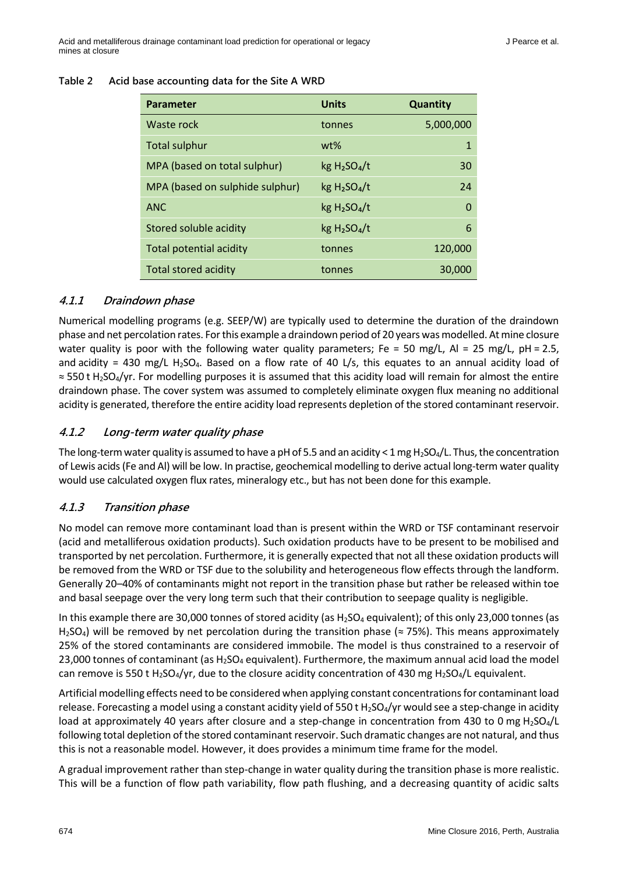| Acid base accounting data for the Site A WRD<br>Table 2 |  |
|---------------------------------------------------------|--|
|---------------------------------------------------------|--|

| <b>Parameter</b>                | <b>Units</b>                         | <b>Quantity</b> |
|---------------------------------|--------------------------------------|-----------------|
| Waste rock                      | tonnes                               | 5,000,000       |
| <b>Total sulphur</b>            | wt%                                  | $\mathbf 1$     |
| MPA (based on total sulphur)    | kg H <sub>2</sub> SO <sub>4</sub> /t | 30              |
| MPA (based on sulphide sulphur) | kg H <sub>2</sub> SO <sub>4</sub> /t | 24              |
| <b>ANC</b>                      | kg H <sub>2</sub> SO <sub>4</sub> /t | $\Omega$        |
| Stored soluble acidity          | kg H <sub>2</sub> SO <sub>4</sub> /t | 6               |
| <b>Total potential acidity</b>  | tonnes                               | 120,000         |
| Total stored acidity            | tonnes                               | 30,000          |

#### **4.1.1 Draindown phase**

Numerical modelling programs (e.g. SEEP/W) are typically used to determine the duration of the draindown phase and net percolation rates. For this example a draindown period of 20 years was modelled. At mine closure water quality is poor with the following water quality parameters; Fe = 50 mg/L, Al = 25 mg/L, pH = 2.5, and acidity = 430 mg/L H<sub>2</sub>SO<sub>4</sub>. Based on a flow rate of 40 L/s, this equates to an annual acidity load of ≈ 550 t H2SO4/yr. For modelling purposes it is assumed that this acidity load will remain for almost the entire draindown phase. The cover system was assumed to completely eliminate oxygen flux meaning no additional acidity is generated, therefore the entire acidity load represents depletion of the stored contaminant reservoir.

#### **4.1.2 Long-term water quality phase**

The long-term water quality is assumed to have a pH of 5.5 and an acidity < 1 mg H<sub>2</sub>SO<sub>4</sub>/L. Thus, the concentration of Lewis acids (Fe and Al) will be low. In practise, geochemical modelling to derive actual long-term water quality would use calculated oxygen flux rates, mineralogy etc., but has not been done for this example.

#### **4.1.3 Transition phase**

No model can remove more contaminant load than is present within the WRD or TSF contaminant reservoir (acid and metalliferous oxidation products). Such oxidation products have to be present to be mobilised and transported by net percolation. Furthermore, it is generally expected that not all these oxidation products will be removed from the WRD or TSF due to the solubility and heterogeneous flow effects through the landform. Generally 20–40% of contaminants might not report in the transition phase but rather be released within toe and basal seepage over the very long term such that their contribution to seepage quality is negligible.

In this example there are 30,000 tonnes of stored acidity (as H<sub>2</sub>SO<sub>4</sub> equivalent); of this only 23,000 tonnes (as H<sub>2</sub>SO<sub>4</sub>) will be removed by net percolation during the transition phase ( $\approx$  75%). This means approximately 25% of the stored contaminants are considered immobile. The model is thus constrained to a reservoir of 23,000 tonnes of contaminant (as  $H_2SO_4$  equivalent). Furthermore, the maximum annual acid load the model can remove is 550 t H<sub>2</sub>SO<sub>4</sub>/yr, due to the closure acidity concentration of 430 mg H<sub>2</sub>SO<sub>4</sub>/L equivalent.

Artificial modelling effects need to be considered when applying constant concentrations for contaminant load release. Forecasting a model using a constant acidity yield of 550 t H<sub>2</sub>SO<sub>4</sub>/yr would see a step-change in acidity load at approximately 40 years after closure and a step-change in concentration from 430 to 0 mg  $H_2SO_4/L$ following total depletion of the stored contaminant reservoir. Such dramatic changes are not natural, and thus this is not a reasonable model. However, it does provides a minimum time frame for the model.

A gradual improvement rather than step-change in water quality during the transition phase is more realistic. This will be a function of flow path variability, flow path flushing, and a decreasing quantity of acidic salts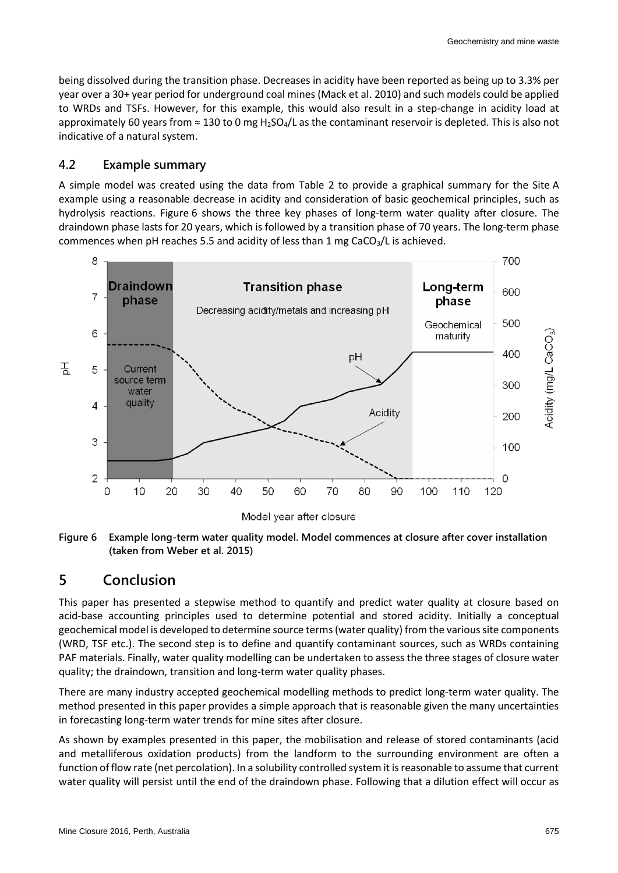being dissolved during the transition phase. Decreases in acidity have been reported as being up to 3.3% per year over a 30+ year period for underground coal mines (Mack et al. 2010) and such models could be applied to WRDs and TSFs. However, for this example, this would also result in a step-change in acidity load at approximately 60 years from  $\approx 130$  to 0 mg H<sub>2</sub>SO<sub>4</sub>/L as the contaminant reservoir is depleted. This is also not indicative of a natural system.

#### **4.2 Example summary**

A simple model was created using the data from Table 2 to provide a graphical summary for the Site A example using a reasonable decrease in acidity and consideration of basic geochemical principles, such as hydrolysis reactions. Figure 6 shows the three key phases of long-term water quality after closure. The draindown phase lasts for 20 years, which is followed by a transition phase of 70 years. The long-term phase commences when pH reaches 5.5 and acidity of less than 1 mg  $CaCO<sub>3</sub>/L$  is achieved.



**Figure 6 Example long-term water quality model. Model commences at closure after cover installation (taken from Weber et al. 2015)**

# **5 Conclusion**

This paper has presented a stepwise method to quantify and predict water quality at closure based on acid-base accounting principles used to determine potential and stored acidity. Initially a conceptual geochemical model is developed to determine source terms (water quality) from the various site components (WRD, TSF etc.). The second step is to define and quantify contaminant sources, such as WRDs containing PAF materials. Finally, water quality modelling can be undertaken to assess the three stages of closure water quality; the draindown, transition and long-term water quality phases.

There are many industry accepted geochemical modelling methods to predict long-term water quality. The method presented in this paper provides a simple approach that is reasonable given the many uncertainties in forecasting long-term water trends for mine sites after closure.

As shown by examples presented in this paper, the mobilisation and release of stored contaminants (acid and metalliferous oxidation products) from the landform to the surrounding environment are often a function of flow rate (net percolation). In a solubility controlled system it is reasonable to assume that current water quality will persist until the end of the draindown phase. Following that a dilution effect will occur as